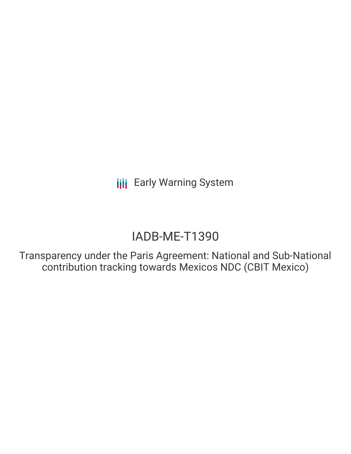# IADB-ME-T1390

Transparency under the Paris Agreement: National and Sub-National contribution tracking towards Mexicos NDC (CBIT Mexico)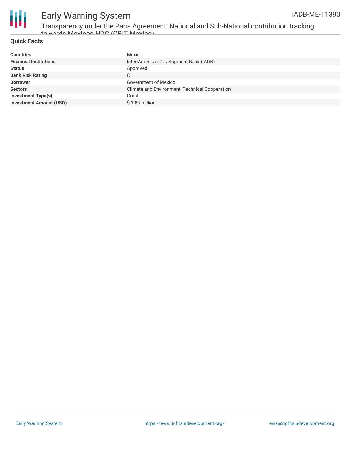

Transparency under the Paris Agreement: National and Sub-National contribution tracking towards Mexicos NDC (CBIT Mexico)

#### **Quick Facts**

| <b>Countries</b>               | Mexico                                         |
|--------------------------------|------------------------------------------------|
| <b>Financial Institutions</b>  | Inter-American Development Bank (IADB)         |
| <b>Status</b>                  | Approved                                       |
| <b>Bank Risk Rating</b>        | C                                              |
| <b>Borrower</b>                | <b>Government of Mexico</b>                    |
| <b>Sectors</b>                 | Climate and Environment, Technical Cooperation |
| <b>Investment Type(s)</b>      | Grant                                          |
| <b>Investment Amount (USD)</b> | \$1.83 million                                 |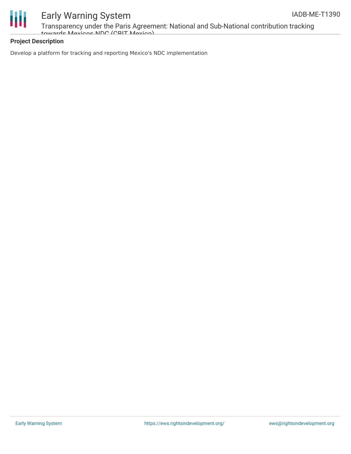

Transparency under the Paris Agreement: National and Sub-National contribution tracking towards Mexicos NDC (CBIT Mexico)

### **Project Description**

Develop a platform for tracking and reporting Mexico's NDC implementation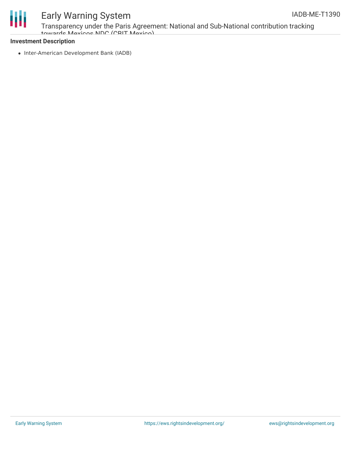

Transparency under the Paris Agreement: National and Sub-National contribution tracking towards Mexicos NDC (CBIT Mexico)

#### **Investment Description**

• Inter-American Development Bank (IADB)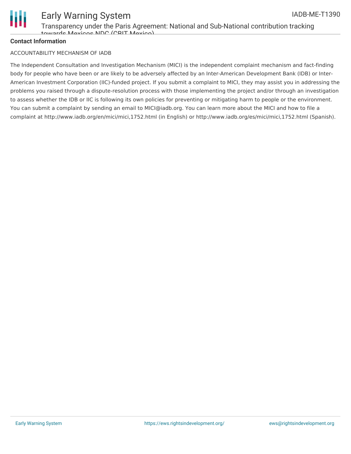

### Early Warning System IADB-ME-T1390

### **Contact Information**

#### ACCOUNTABILITY MECHANISM OF IADB

The Independent Consultation and Investigation Mechanism (MICI) is the independent complaint mechanism and fact-finding body for people who have been or are likely to be adversely affected by an Inter-American Development Bank (IDB) or Inter-American Investment Corporation (IIC)-funded project. If you submit a complaint to MICI, they may assist you in addressing the problems you raised through a dispute-resolution process with those implementing the project and/or through an investigation to assess whether the IDB or IIC is following its own policies for preventing or mitigating harm to people or the environment. You can submit a complaint by sending an email to MICI@iadb.org. You can learn more about the MICI and how to file a complaint at http://www.iadb.org/en/mici/mici,1752.html (in English) or http://www.iadb.org/es/mici/mici,1752.html (Spanish).